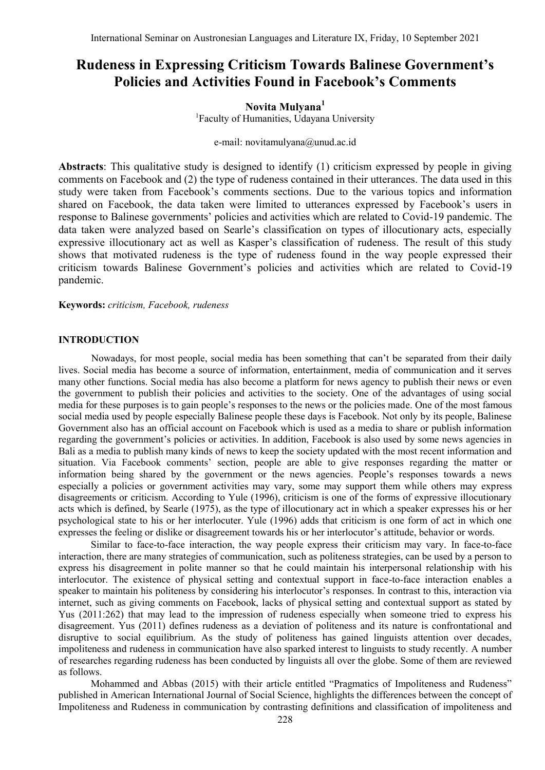# **Rudeness in Expressing Criticism Towards Balinese Government's Policies and Activities Found in Facebook's Comments**

# **Novita Mulyana<sup>1</sup>**

<sup>1</sup>Faculty of Humanities, Udayana University

e-mail: [novitamulyana@unud.ac.id](mailto:novitamulyana@unud.ac.id)

**Abstracts**: This qualitative study is designed to identify (1) criticism expressed by people in giving comments on Facebook and (2) the type of rudeness contained in their utterances. The data used in this study were taken from Facebook"s comments sections. Due to the various topics and information shared on Facebook, the data taken were limited to utterances expressed by Facebook"s users in response to Balinese governments' policies and activities which are related to Covid-19 pandemic. The data taken were analyzed based on Searle"s classification on types of illocutionary acts, especially expressive illocutionary act as well as Kasper's classification of rudeness. The result of this study shows that motivated rudeness is the type of rudeness found in the way people expressed their criticism towards Balinese Government"s policies and activities which are related to Covid-19 pandemic.

#### **Keywords:** *criticism, Facebook, rudeness*

#### **INTRODUCTION**

Nowadays, for most people, social media has been something that can"t be separated from their daily lives. Social media has become a source of information, entertainment, media of communication and it serves many other functions. Social media has also become a platform for news agency to publish their news or even the government to publish their policies and activities to the society. One of the advantages of using social media for these purposes is to gain people"s responses to the news or the policies made. One of the most famous social media used by people especially Balinese people these days is Facebook. Not only by its people, Balinese Government also has an official account on Facebook which is used as a media to share or publish information regarding the government's policies or activities. In addition, Facebook is also used by some news agencies in Bali as a media to publish many kinds of news to keep the society updated with the most recent information and situation. Via Facebook comments" section, people are able to give responses regarding the matter or information being shared by the government or the news agencies. People"s responses towards a news especially a policies or government activities may vary, some may support them while others may express disagreements or criticism. According to Yule (1996), criticism is one of the forms of expressive illocutionary acts which is defined, by Searle (1975), as the type of illocutionary act in which a speaker expresses his or her psychological state to his or her interlocuter. Yule (1996) adds that criticism is one form of act in which one expresses the feeling or dislike or disagreement towards his or her interlocutor's attitude, behavior or words.

Similar to face-to-face interaction, the way people express their criticism may vary. In face-to-face interaction, there are many strategies of communication, such as politeness strategies, can be used by a person to express his disagreement in polite manner so that he could maintain his interpersonal relationship with his interlocutor. The existence of physical setting and contextual support in face-to-face interaction enables a speaker to maintain his politeness by considering his interlocutor's responses. In contrast to this, interaction via internet, such as giving comments on Facebook, lacks of physical setting and contextual support as stated by Yus (2011:262) that may lead to the impression of rudeness especially when someone tried to express his disagreement. Yus (2011) defines rudeness as a deviation of politeness and its nature is confrontational and disruptive to social equilibrium. As the study of politeness has gained linguists attention over decades, impoliteness and rudeness in communication have also sparked interest to linguists to study recently. A number of researches regarding rudeness has been conducted by linguists all over the globe. Some of them are reviewed as follows.

Mohammed and Abbas (2015) with their article entitled "Pragmatics of Impoliteness and Rudeness" published in American International Journal of Social Science, highlights the differences between the concept of Impoliteness and Rudeness in communication by contrasting definitions and classification of impoliteness and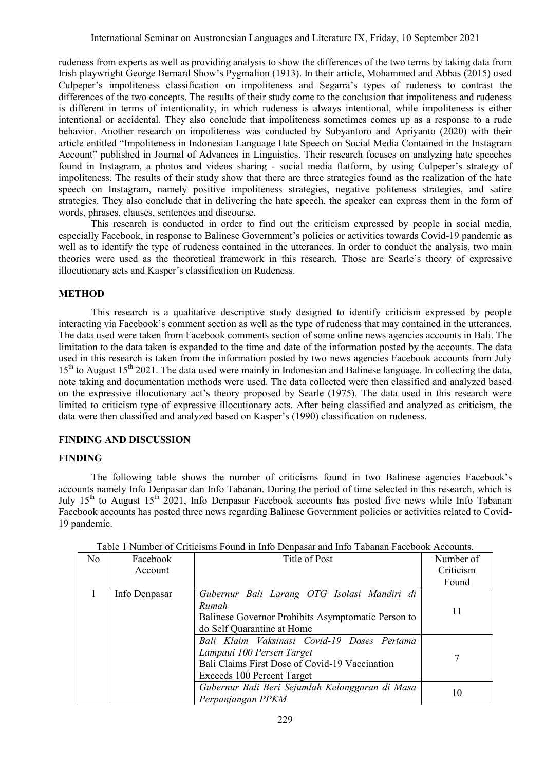rudeness from experts as well as providing analysis to show the differences of the two terms by taking data from Irish playwright George Bernard Show"s Pygmalion (1913). In their article, Mohammed and Abbas (2015) used Culpeper"s impoliteness classification on impoliteness and Segarra"s types of rudeness to contrast the differences of the two concepts. The results of their study come to the conclusion that impoliteness and rudeness is different in terms of intentionality, in which rudeness is always intentional, while impoliteness is either intentional or accidental. They also conclude that impoliteness sometimes comes up as a response to a rude behavior. Another research on impoliteness was conducted by Subyantoro and Apriyanto (2020) with their article entitled "Impoliteness in Indonesian Language Hate Speech on Social Media Contained in the Instagram Account" published in Journal of Advances in Linguistics. Their research focuses on analyzing hate speeches found in Instagram, a photos and videos sharing - social media flatform, by using Culpeper"s strategy of impoliteness. The results of their study show that there are three strategies found as the realization of the hate speech on Instagram, namely positive impoliteness strategies, negative politeness strategies, and satire strategies. They also conclude that in delivering the hate speech, the speaker can express them in the form of words, phrases, clauses, sentences and discourse.

This research is conducted in order to find out the criticism expressed by people in social media, especially Facebook, in response to Balinese Government's policies or activities towards Covid-19 pandemic as well as to identify the type of rudeness contained in the utterances. In order to conduct the analysis, two main theories were used as the theoretical framework in this research. Those are Searle"s theory of expressive illocutionary acts and Kasper"s classification on Rudeness.

## **METHOD**

This research is a qualitative descriptive study designed to identify criticism expressed by people interacting via Facebook"s comment section as well as the type of rudeness that may contained in the utterances. The data used were taken from Facebook comments section of some online news agencies accounts in Bali. The limitation to the data taken is expanded to the time and date of the information posted by the accounts. The data used in this research is taken from the information posted by two news agencies Facebook accounts from July 15<sup>th</sup> to August 15<sup>th</sup> 2021. The data used were mainly in Indonesian and Balinese language. In collecting the data, note taking and documentation methods were used. The data collected were then classified and analyzed based on the expressive illocutionary act's theory proposed by Searle (1975). The data used in this research were limited to criticism type of expressive illocutionary acts. After being classified and analyzed as criticism, the data were then classified and analyzed based on Kasper"s (1990) classification on rudeness.

### **FINDING AND DISCUSSION**

### **FINDING**

The following table shows the number of criticisms found in two Balinese agencies Facebook"s accounts namely Info Denpasar dan Info Tabanan. During the period of time selected in this research, which is July  $15<sup>th</sup>$  to August  $15<sup>th</sup>$  2021, Info Denpasar Facebook accounts has posted five news while Info Tabanan Facebook accounts has posted three news regarding Balinese Government policies or activities related to Covid-19 pandemic.

| No | Facebook      | Title of Post                                      | Number of |
|----|---------------|----------------------------------------------------|-----------|
|    | Account       |                                                    | Criticism |
|    |               |                                                    | Found     |
|    | Info Denpasar | Gubernur Bali Larang OTG Isolasi Mandiri di        |           |
|    |               | Rumah                                              | 11        |
|    |               | Balinese Governor Prohibits Asymptomatic Person to |           |
|    |               | do Self Quarantine at Home                         |           |
|    |               | Bali Klaim Vaksinasi Covid-19 Doses Pertama        |           |
|    |               | Lampaui 100 Persen Target                          |           |
|    |               | Bali Claims First Dose of Covid-19 Vaccination     |           |
|    |               | Exceeds 100 Percent Target                         |           |
|    |               | Gubernur Bali Beri Sejumlah Kelonggaran di Masa    |           |
|    |               | Perpanjangan PPKM                                  | 10        |

| Table 1 Number of Criticisms Found in Info Denpasar and Info Tabanan Facebook Accounts. |
|-----------------------------------------------------------------------------------------|
|-----------------------------------------------------------------------------------------|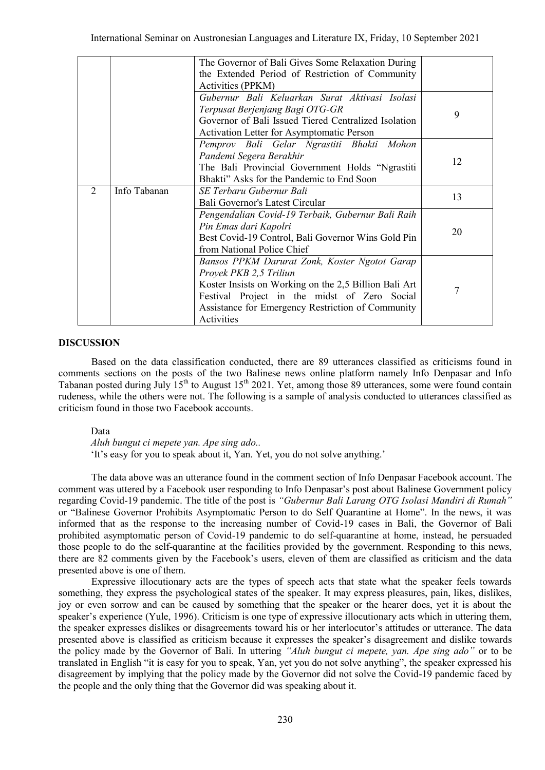|   |              | The Governor of Bali Gives Some Relaxation During     |    |
|---|--------------|-------------------------------------------------------|----|
|   |              | the Extended Period of Restriction of Community       |    |
|   |              | Activities (PPKM)                                     |    |
|   |              | Gubernur Bali Keluarkan Surat Aktivasi Isolasi        | 9  |
|   |              | Terpusat Berjenjang Bagi OTG-GR                       |    |
|   |              | Governor of Bali Issued Tiered Centralized Isolation  |    |
|   |              | Activation Letter for Asymptomatic Person             |    |
|   |              | Pemprov Bali Gelar Ngrastiti Bhakti Mohon             |    |
|   |              | Pandemi Segera Berakhir                               | 12 |
|   |              | The Bali Provincial Government Holds "Ngrastiti       |    |
|   |              | Bhakti" Asks for the Pandemic to End Soon             |    |
| 2 | Info Tabanan | SE Terbaru Gubernur Bali                              | 13 |
|   |              | Bali Governor's Latest Circular                       |    |
|   |              | Pengendalian Covid-19 Terbaik, Gubernur Bali Raih     |    |
|   |              | Pin Emas dari Kapolri                                 | 20 |
|   |              | Best Covid-19 Control, Bali Governor Wins Gold Pin    |    |
|   |              | from National Police Chief                            |    |
|   |              | Bansos PPKM Darurat Zonk, Koster Ngotot Garap         |    |
|   |              | Proyek PKB 2,5 Triliun                                |    |
|   |              | Koster Insists on Working on the 2,5 Billion Bali Art |    |
|   |              | Festival Project in the midst of Zero Social          | 7  |
|   |              | Assistance for Emergency Restriction of Community     |    |
|   |              | Activities                                            |    |

#### **DISCUSSION**

Based on the data classification conducted, there are 89 utterances classified as criticisms found in comments sections on the posts of the two Balinese news online platform namely Info Denpasar and Info Tabanan posted during July  $15<sup>th</sup>$  to August  $15<sup>th</sup>$  2021. Yet, among those 89 utterances, some were found contain rudeness, while the others were not. The following is a sample of analysis conducted to utterances classified as criticism found in those two Facebook accounts.

Data

*Aluh bungut ci mepete yan. Ape sing ado..* 'It's easy for you to speak about it, Yan. Yet, you do not solve anything.'

The data above was an utterance found in the comment section of Info Denpasar Facebook account. The comment was uttered by a Facebook user responding to Info Denpasar"s post about Balinese Government policy regarding Covid-19 pandemic. The title of the post is *"Gubernur Bali Larang OTG Isolasi Mandiri di Rumah"* or "Balinese Governor Prohibits Asymptomatic Person to do Self Quarantine at Home". In the news, it was informed that as the response to the increasing number of Covid-19 cases in Bali, the Governor of Bali prohibited asymptomatic person of Covid-19 pandemic to do self-quarantine at home, instead, he persuaded those people to do the self-quarantine at the facilities provided by the government. Responding to this news, there are 82 comments given by the Facebook"s users, eleven of them are classified as criticism and the data presented above is one of them.

Expressive illocutionary acts are the types of speech acts that state what the speaker feels towards something, they express the psychological states of the speaker. It may express pleasures, pain, likes, dislikes, joy or even sorrow and can be caused by something that the speaker or the hearer does, yet it is about the speaker's experience (Yule, 1996). Criticism is one type of expressive illocutionary acts which in uttering them, the speaker expresses dislikes or disagreements toward his or her interlocutor's attitudes or utterance. The data presented above is classified as criticism because it expresses the speaker"s disagreement and dislike towards the policy made by the Governor of Bali. In uttering *"Aluh bungut ci mepete, yan. Ape sing ado"* or to be translated in English "it is easy for you to speak, Yan, yet you do not solve anything", the speaker expressed his disagreement by implying that the policy made by the Governor did not solve the Covid-19 pandemic faced by the people and the only thing that the Governor did was speaking about it.